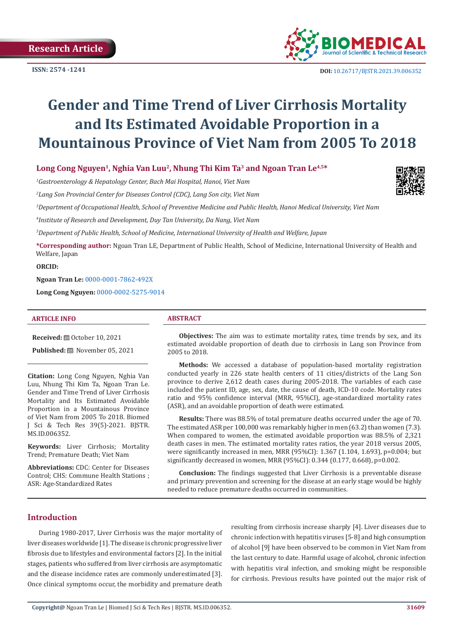**ISSN: 2574 -1241**



 **DOI:** [10.26717/BJSTR.2021.39.006352](https://dx.doi.org/10.26717/BJSTR.2021.39.006352)

# **Gender and Time Trend of Liver Cirrhosis Mortality and Its Estimated Avoidable Proportion in a Mountainous Province of Viet Nam from 2005 To 2018**

# Long Cong Nguyen<sup>1</sup>, Nghia Van Luu<sup>2</sup>, Nhung Thi Kim Ta<sup>3</sup> and Ngoan Tran Le<sup>4,5\*</sup>

*1 Gastroenterology & Hepatology Center, Bach Mai Hospital, Hanoi, Viet Nam*

*2 Lang Son Provincial Center for Diseases Control (CDC), Lang Son city, Viet Nam*

*3 Department of Occupational Health, School of Preventive Medicine and Public Health, Hanoi Medical University, Viet Nam*

*4 Institute of Research and Development, Duy Tan University, Da Nang, Viet Nam*

*5 Department of Public Health, School of Medicine, International University of Health and Welfare, Japan*

**\*Corresponding author:** Ngoan Tran LE, Department of Public Health, School of Medicine, International University of Health and Welfare, Japan

**ORCID:**

**Ngoan Tran Le:** [0000-0001-7862-492X](https://orcid.org/0000-0001-7862-492X)

**Long Cong Nguyen:** [0000-0002-5275-9014](https://orcid.org/0000-0002-5275-9014)

#### **ARTICLE INFO ABSTRACT**

**Received:** ■ October 10, 2021

**Published:** November 05, 2021

**Citation:** Long Cong Nguyen, Nghia Van Luu, Nhung Thi Kim Ta, Ngoan Tran Le. Gender and Time Trend of Liver Cirrhosis Mortality and Its Estimated Avoidable Proportion in a Mountainous Province of Viet Nam from 2005 To 2018. Biomed J Sci & Tech Res 39(5)-2021. BJSTR. MS.ID.006352.

**Keywords:** Liver Cirrhosis; Mortality Trend; Premature Death; Viet Nam

**Abbreviations:** CDC: Center for Diseases Control; CHS: Commune Health Stations ; ASR: Age-Standardized Rates

**Objectives:** The aim was to estimate mortality rates, time trends by sex, and its estimated avoidable proportion of death due to cirrhosis in Lang son Province from 2005 to 2018.

**Methods:** We accessed a database of population-based mortality registration conducted yearly in 226 state health centers of 11 cities/districts of the Lang Son province to derive 2,612 death cases during 2005-2018. The variables of each case included the patient ID, age, sex, date, the cause of death, ICD-10 code. Mortality rates ratio and 95% confidence interval (MRR, 95%CI), age-standardized mortality rates (ASR), and an avoidable proportion of death were estimated.

**Results:** There was 88.5% of total premature deaths occurred under the age of 70. The estimated ASR per 100,000 was remarkably higher in men (63.2) than women (7.3). When compared to women, the estimated avoidable proportion was 88.5% of 2,321 death cases in men. The estimated mortality rates ratios, the year 2018 versus 2005, were significantly increased in men, MRR (95%CI): 1.367 (1.104, 1.693), p=0.004; but significantly decreased in women, MRR (95%CI): 0.344 (0.177, 0.668), p=0.002.

**Conclusion:** The findings suggested that Liver Cirrhosis is a preventable disease and primary prevention and screening for the disease at an early stage would be highly needed to reduce premature deaths occurred in communities.

### **Introduction**

During 1980-2017, Liver Cirrhosis was the major mortality of liver diseases worldwide [1]. The disease is chronic progressive liver fibrosis due to lifestyles and environmental factors [2]. In the initial stages, patients who suffered from liver cirrhosis are asymptomatic and the disease incidence rates are commonly underestimated [3]. Once clinical symptoms occur, the morbidity and premature death

resulting from cirrhosis increase sharply [4]. Liver diseases due to chronic infection with hepatitis viruses [5-8] and high consumption of alcohol [9] have been observed to be common in Viet Nam from the last century to date. Harmful usage of alcohol, chronic infection with hepatitis viral infection, and smoking might be responsible for cirrhosis. Previous results have pointed out the major risk of

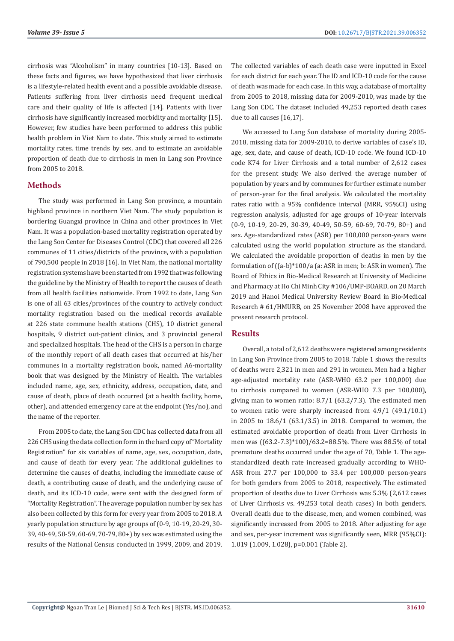cirrhosis was "Alcoholism" in many countries [10-13]. Based on these facts and figures, we have hypothesized that liver cirrhosis is a lifestyle-related health event and a possible avoidable disease. Patients suffering from liver cirrhosis need frequent medical care and their quality of life is affected [14]. Patients with liver cirrhosis have significantly increased morbidity and mortality [15]. However, few studies have been performed to address this public health problem in Viet Nam to date. This study aimed to estimate mortality rates, time trends by sex, and to estimate an avoidable proportion of death due to cirrhosis in men in Lang son Province from 2005 to 2018.

# **Methods**

The study was performed in Lang Son province, a mountain highland province in northern Viet Nam. The study population is bordering Guangxi province in China and other provinces in Viet Nam. It was a population-based mortality registration operated by the Lang Son Center for Diseases Control (CDC) that covered all 226 communes of 11 cities/districts of the province, with a population of 790,500 people in 2018 [16]. In Viet Nam, the national mortality registration systems have been started from 1992 that was following the guideline by the Ministry of Health to report the causes of death from all health facilities nationwide. From 1992 to date, Lang Son is one of all 63 cities/provinces of the country to actively conduct mortality registration based on the medical records available at 226 state commune health stations (CHS), 10 district general hospitals, 9 district out-patient clinics, and 3 provincial general and specialized hospitals. The head of the CHS is a person in charge of the monthly report of all death cases that occurred at his/her communes in a mortality registration book, named A6-mortality book that was designed by the Ministry of Health. The variables included name, age, sex, ethnicity, address, occupation, date, and cause of death, place of death occurred (at a health facility, home, other), and attended emergency care at the endpoint (Yes/no), and the name of the reporter.

From 2005 to date, the Lang Son CDC has collected data from all 226 CHS using the data collection form in the hard copy of "Mortality Registration" for six variables of name, age, sex, occupation, date, and cause of death for every year. The additional guidelines to determine the causes of deaths, including the immediate cause of death, a contributing cause of death, and the underlying cause of death, and its ICD-10 code, were sent with the designed form of "Mortality Registration". The average population number by sex has also been collected by this form for every year from 2005 to 2018. A yearly population structure by age groups of (0-9, 10-19, 20-29, 30- 39, 40-49, 50-59, 60-69, 70-79, 80+) by sex was estimated using the results of the National Census conducted in 1999, 2009, and 2019.

The collected variables of each death case were inputted in Excel for each district for each year. The ID and ICD-10 code for the cause of death was made for each case. In this way, a database of mortality from 2005 to 2018, missing data for 2009-2010, was made by the Lang Son CDC. The dataset included 49,253 reported death cases due to all causes [16,17].

We accessed to Lang Son database of mortality during 2005- 2018, missing data for 2009-2010, to derive variables of case's ID, age, sex, date, and cause of death, ICD-10 code. We found ICD-10 code K74 for Liver Cirrhosis and a total number of 2,612 cases for the present study. We also derived the average number of population by years and by communes for further estimate number of person-year for the final analysis. We calculated the mortality rates ratio with a 95% confidence interval (MRR, 95%CI) using regression analysis, adjusted for age groups of 10-year intervals (0-9, 10-19, 20-29, 30-39, 40-49, 50-59, 60-69, 70-79, 80+) and sex. Age-standardized rates (ASR) per 100,000 person-years were calculated using the world population structure as the standard. We calculated the avoidable proportion of deaths in men by the formulation of ((a-b)\*100/a (a: ASR in men; b: ASR in women). The Board of Ethics in Bio-Medical Research at University of Medicine and Pharmacy at Ho Chi Minh City #106/UMP-BOARD, on 20 March 2019 and Hanoi Medical University Review Board in Bio-Medical Research # 61/HMURB, on 25 November 2008 have approved the present research protocol.

# **Results**

Overall, a total of 2,612 deaths were registered among residents in Lang Son Province from 2005 to 2018. Table 1 shows the results of deaths were 2,321 in men and 291 in women. Men had a higher age-adjusted mortality rate (ASR-WHO 63.2 per 100,000) due to cirrhosis compared to women (ASR-WHO 7.3 per 100,000), giving man to women ratio: 8.7/1 (63.2/7.3). The estimated men to women ratio were sharply increased from 4.9/1 (49.1/10.1) in 2005 to 18.6/1 (63.1/3.5) in 2018. Compared to women, the estimated avoidable proportion of death from Liver Cirrhosis in men was ((63.2-7.3)\*100)/63.2=88.5%. There was 88.5% of total premature deaths occurred under the age of 70, Table 1. The agestandardized death rate increased gradually according to WHO-ASR from 27.7 per 100,000 to 33.4 per 100,000 person-years for both genders from 2005 to 2018, respectively. The estimated proportion of deaths due to Liver Cirrhosis was 5.3% (2,612 cases of Liver Cirrhosis vs. 49,253 total death cases) in both genders. Overall death due to the disease, men, and women combined, was significantly increased from 2005 to 2018. After adjusting for age and sex, per-year increment was significantly seen, MRR (95%CI): 1.019 (1.009, 1.028), p=0.001 (Table 2).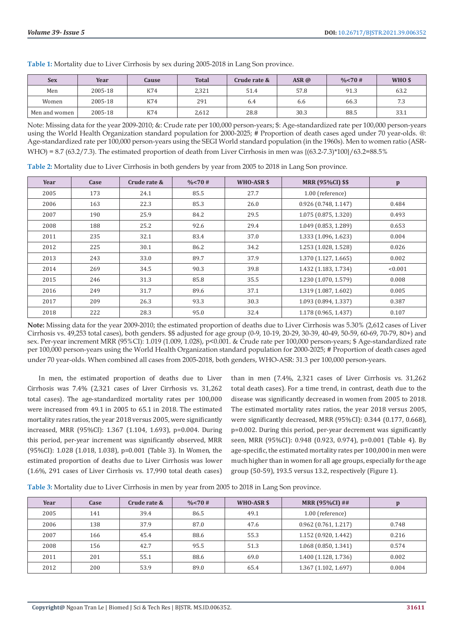| <b>Sex</b>    | Year    | Cause | <b>Total</b> | Crude rate & | ASR@ | $\frac{0}{6}$ < 70 # | WHO \$ |
|---------------|---------|-------|--------------|--------------|------|----------------------|--------|
| Men           | 2005-18 | K74   | 2,321        | 51.4         | 57.8 | 91.3                 | 63.2   |
| Women         | 2005-18 | K74   | 291          | 6.4          | 6.6  | 66.3                 | 7.3    |
| Men and women | 2005-18 | K74   | 2,612        | 28.8         | 30.3 | 88.5                 | 33.1   |

**Table 1:** Mortality due to Liver Cirrhosis by sex during 2005-2018 in Lang Son province.

Note: Missing data for the year 2009-2010; &: Crude rate per 100,000 person-years; \$: Age-standardized rate per 100,000 person-years using the World Health Organization standard population for 2000-2025; # Proportion of death cases aged under 70 year-olds. @: Age-standardized rate per 100,000 person-years using the SEGI World standard population (in the 1960s). Men to women ratio (ASR-WHO) = 8.7 (63.2/7.3). The estimated proportion of death from Liver Cirrhosis in men was  $\{(63.2-7.3)*100\}/63.2=88.5\%$ 

| Table 2: Mortality due to Liver Cirrhosis in both genders by year from 2005 to 2018 in Lang Son province. |  |  |
|-----------------------------------------------------------------------------------------------------------|--|--|
|                                                                                                           |  |  |

| Year | Case | Crude rate & | $\frac{0}{6}$ < 70 # | <b>WHO-ASR \$</b> | <b>MRR (95%CI) \$\$</b> | $\mathbf{p}$ |
|------|------|--------------|----------------------|-------------------|-------------------------|--------------|
| 2005 | 173  | 24.1         | 85.5                 | 27.7              | 1.00 (reference)        |              |
| 2006 | 163  | 22.3         | 85.3                 | 26.0              | $0.926$ (0.748, 1.147)  | 0.484        |
| 2007 | 190  | 25.9         | 84.2                 | 29.5              | 1.075 (0.875, 1.320)    | 0.493        |
| 2008 | 188  | 25.2         | 92.6                 | 29.4              | 1.049 (0.853, 1.289)    | 0.653        |
| 2011 | 235  | 32.1         | 83.4                 | 37.0              | 1.333 (1.096, 1.623)    | 0.004        |
| 2012 | 225  | 30.1         | 86.2                 | 34.2              | 1.253 (1.028, 1.528)    | 0.026        |
| 2013 | 243  | 33.0         | 89.7                 | 37.9              | 1.370 (1.127, 1.665)    | 0.002        |
| 2014 | 269  | 34.5         | 90.3                 | 39.8              | 1.432 (1.183, 1.734)    | < 0.001      |
| 2015 | 246  | 31.3         | 85.8                 | 35.5              | 1.230 (1.070, 1.579)    | 0.008        |
| 2016 | 249  | 31.7         | 89.6                 | 37.1              | 1.319 (1.087, 1.602)    | 0.005        |
| 2017 | 209  | 26.3         | 93.3                 | 30.3              | 1.093 (0.894, 1.337)    | 0.387        |
| 2018 | 222  | 28.3         | 95.0                 | 32.4              | 1.178 (0.965, 1.437)    | 0.107        |

**Note:** Missing data for the year 2009-2010; the estimated proportion of deaths due to Liver Cirrhosis was 5.30% (2,612 cases of Liver Cirrhosis vs. 49,253 total cases), both genders. \$\$ adjusted for age group (0-9, 10-19, 20-29, 30-39, 40-49, 50-59, 60-69, 70-79, 80+) and sex. Per-year increment MRR (95%CI): 1.019 (1.009, 1.028), p<0.001. & Crude rate per 100,000 person-years; \$ Age-standardized rate per 100,000 person-years using the World Health Organization standard population for 2000-2025; # Proportion of death cases aged under 70 year-olds. When combined all cases from 2005-2018, both genders, WHO-ASR: 31.3 per 100,000 person-years.

In men, the estimated proportion of deaths due to Liver Cirrhosis was 7.4% (2,321 cases of Liver Cirrhosis vs. 31,262 total cases). The age-standardized mortality rates per 100,000 were increased from 49.1 in 2005 to 65.1 in 2018. The estimated mortality rates ratios, the year 2018 versus 2005, were significantly increased, MRR (95%CI): 1.367 (1.104, 1.693), p=0.004. During this period, per-year increment was significantly observed, MRR (95%CI): 1.028 (1.018, 1.038), p=0.001 (Table 3). In Women, the estimated proportion of deaths due to Liver Cirrhosis was lower (1.6%, 291 cases of Liver Cirrhosis vs. 17,990 total death cases)

than in men (7.4%, 2,321 cases of Liver Cirrhosis vs. 31,262 total death cases). For a time trend, in contrast, death due to the disease was significantly decreased in women from 2005 to 2018. The estimated mortality rates ratios, the year 2018 versus 2005, were significantly decreased, MRR (95%CI): 0.344 (0.177, 0.668), p=0.002. During this period, per-year decrement was significantly seen, MRR (95%CI): 0.948 (0.923, 0.974), p=0.001 (Table 4). By age-specific, the estimated mortality rates per 100,000 in men were much higher than in women for all age groups, especially for the age group (50-59), 193.5 versus 13.2, respectively (Figure 1).

**Table 3:** Mortality due to Liver Cirrhosis in men by year from 2005 to 2018 in Lang Son province.

| Year | Case | Crude rate & | $\frac{0}{6}$ < 70 # | WHO-ASR \$ | MRR $(95\%CI)$ ##      |       |
|------|------|--------------|----------------------|------------|------------------------|-------|
| 2005 | 141  | 39.4         | 86.5                 | 49.1       | 1.00 (reference)       |       |
| 2006 | 138  | 37.9         | 87.0                 | 47.6       | $0.962$ (0.761, 1.217) | 0.748 |
| 2007 | 166  | 45.4         | 88.6                 | 55.3       | 1.152 (0.920, 1.442)   | 0.216 |
| 2008 | 156  | 42.7         | 95.5                 | 51.3       | $1.068$ (0.850, 1.341) | 0.574 |
| 2011 | 201  | 55.1         | 88.6                 | 69.0       | 1.400 (1.128, 1.736)   | 0.002 |
| 2012 | 200  | 53.9         | 89.0                 | 65.4       | 1.367(1.102, 1.697)    | 0.004 |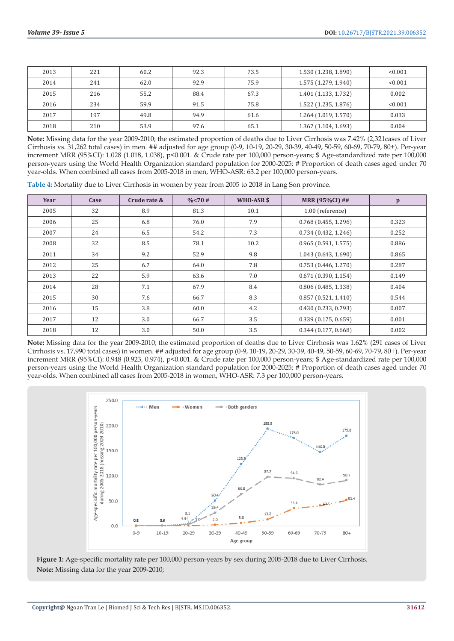| 2013 | 221 | 60.2 | 92.3 | 73.5 | 1.530 (1.238, 1.890) | < 0.001 |
|------|-----|------|------|------|----------------------|---------|
| 2014 | 241 | 62.0 | 92.9 | 75.9 | 1.575 (1.279, 1.940) | < 0.001 |
| 2015 | 216 | 55.2 | 88.4 | 67.3 | 1.401 (1.133, 1.732) | 0.002   |
| 2016 | 234 | 59.9 | 91.5 | 75.8 | 1.522(1.235, 1.876)  | < 0.001 |
| 2017 | 197 | 49.8 | 94.9 | 61.6 | 1.264(1.019, 1.570)  | 0.033   |
| 2018 | 210 | 53.9 | 97.6 | 65.1 | 1.367 (1.104, 1.693) | 0.004   |

**Note:** Missing data for the year 2009-2010; the estimated proportion of deaths due to Liver Cirrhosis was 7.42% (2,321cases of Liver Cirrhosis vs. 31,262 total cases) in men. ## adjusted for age group (0-9, 10-19, 20-29, 30-39, 40-49, 50-59, 60-69, 70-79, 80+). Per-year increment MRR (95%CI): 1.028 (1.018, 1.038), p<0.001. & Crude rate per 100,000 person-years; \$ Age-standardized rate per 100,000 person-years using the World Health Organization standard population for 2000-2025; # Proportion of death cases aged under 70 year-olds. When combined all cases from 2005-2018 in men, WHO-ASR: 63.2 per 100,000 person-years.

**Table 4:** Mortality due to Liver Cirrhosis in women by year from 2005 to 2018 in Lang Son province.

| Year | Case | Crude rate & | $\frac{0}{6}$ < 70 # | <b>WHO-ASR \$</b> | <b>MRR (95%CI) ##</b>  | $\mathbf{p}$ |
|------|------|--------------|----------------------|-------------------|------------------------|--------------|
| 2005 | 32   | 8.9          | 81.3                 | 10.1              | 1.00 (reference)       |              |
| 2006 | 25   | 6.8          | 76.0                 | 7.9               | $0.768$ (0.455, 1.296) | 0.323        |
| 2007 | 24   | 6.5          | 54.2                 | 7.3               | 0.734(0.432, 1.246)    | 0.252        |
| 2008 | 32   | 8.5          | 78.1                 | 10.2              | 0.965(0.591, 1.575)    | 0.886        |
| 2011 | 34   | 9.2          | 52.9                 | 9.8               | 1.043 (0.643, 1.690)   | 0.865        |
| 2012 | 25   | 6.7          | 64.0                 | 7.8               | 0.753(0.446, 1.270)    | 0.287        |
| 2013 | 22   | 5.9          | 63.6                 | 7.0               | 0.671(0.390, 1.154)    | 0.149        |
| 2014 | 28   | 7.1          | 67.9                 | 8.4               | $0.806$ (0.485, 1.338) | 0.404        |
| 2015 | 30   | 7.6          | 66.7                 | 8.3               | 0.857(0.521, 1.410)    | 0.544        |
| 2016 | 15   | 3.8          | 60.0                 | 4.2               | 0.430(0.233, 0.793)    | 0.007        |
| 2017 | 12   | 3.0          | 66.7                 | 3.5               | 0.339(0.175, 0.659)    | 0.001        |
| 2018 | 12   | 3.0          | 50.0                 | 3.5               | 0.344(0.177, 0.668)    | 0.002        |

**Note:** Missing data for the year 2009-2010; the estimated proportion of deaths due to Liver Cirrhosis was 1.62% (291 cases of Liver Cirrhosis vs. 17,990 total cases) in women. ## adjusted for age group (0-9, 10-19, 20-29, 30-39, 40-49, 50-59, 60-69, 70-79, 80+). Per-year increment MRR (95%CI): 0.948 (0.923, 0.974), p<0.001. & Crude rate per 100,000 person-years; \$ Age-standardized rate per 100,000 person-years using the World Health Organization standard population for 2000-2025; # Proportion of death cases aged under 70 year-olds. When combined all cases from 2005-2018 in women, WHO-ASR: 7.3 per 100,000 person-years.



**Figure 1:** Age-specific mortality rate per 100,000 person-years by sex during 2005-2018 due to Liver Cirrhosis. **Note:** Missing data for the year 2009-2010;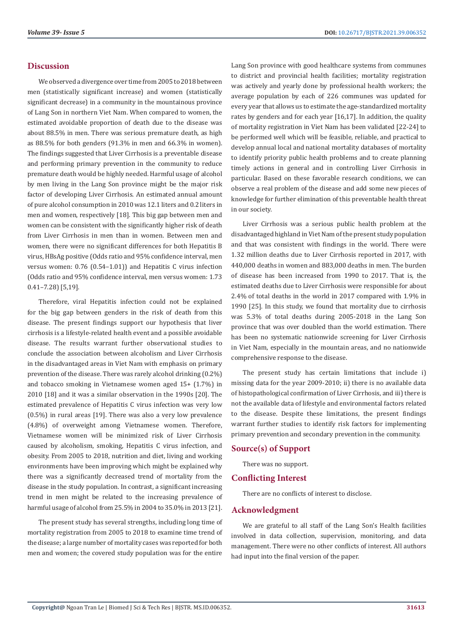#### **Discussion**

We observed a divergence over time from 2005 to 2018 between men (statistically significant increase) and women (statistically significant decrease) in a community in the mountainous province of Lang Son in northern Viet Nam. When compared to women, the estimated avoidable proportion of death due to the disease was about 88.5% in men. There was serious premature death, as high as 88.5% for both genders (91.3% in men and 66.3% in women). The findings suggested that Liver Cirrhosis is a preventable disease and performing primary prevention in the community to reduce premature death would be highly needed. Harmful usage of alcohol by men living in the Lang Son province might be the major risk factor of developing Liver Cirrhosis. An estimated annual amount of pure alcohol consumption in 2010 was 12.1 liters and 0.2 liters in men and women, respectively [18]. This big gap between men and women can be consistent with the significantly higher risk of death from Liver Cirrhosis in men than in women. Between men and women, there were no significant differences for both Hepatitis B virus, HBsAg positive (Odds ratio and 95% confidence interval, men versus women: 0.76 (0.54–1.01)) and Hepatitis C virus infection (Odds ratio and 95% confidence interval, men versus women: 1.73 0.41–7.28) [5,19].

Therefore, viral Hepatitis infection could not be explained for the big gap between genders in the risk of death from this disease. The present findings support our hypothesis that liver cirrhosis is a lifestyle-related health event and a possible avoidable disease. The results warrant further observational studies to conclude the association between alcoholism and Liver Cirrhosis in the disadvantaged areas in Viet Nam with emphasis on primary prevention of the disease. There was rarely alcohol drinking (0.2%) and tobacco smoking in Vietnamese women aged 15+ (1.7%) in 2010 [18] and it was a similar observation in the 1990s [20]. The estimated prevalence of Hepatitis C virus infection was very low (0.5%) in rural areas [19]. There was also a very low prevalence (4.8%) of overweight among Vietnamese women. Therefore, Vietnamese women will be minimized risk of Liver Cirrhosis caused by alcoholism, smoking, Hepatitis C virus infection, and obesity. From 2005 to 2018, nutrition and diet, living and working environments have been improving which might be explained why there was a significantly decreased trend of mortality from the disease in the study population. In contrast, a significant increasing trend in men might be related to the increasing prevalence of harmful usage of alcohol from 25.5% in 2004 to 35.0% in 2013 [21].

The present study has several strengths, including long time of mortality registration from 2005 to 2018 to examine time trend of the disease; a large number of mortality cases was reported for both men and women; the covered study population was for the entire

Lang Son province with good healthcare systems from communes to district and provincial health facilities; mortality registration was actively and yearly done by professional health workers; the average population by each of 226 communes was updated for every year that allows us to estimate the age-standardized mortality rates by genders and for each year [16,17]. In addition, the quality of mortality registration in Viet Nam has been validated [22-24] to be performed well which will be feasible, reliable, and practical to develop annual local and national mortality databases of mortality to identify priority public health problems and to create planning timely actions in general and in controlling Liver Cirrhosis in particular. Based on these favorable research conditions, we can observe a real problem of the disease and add some new pieces of knowledge for further elimination of this preventable health threat in our society.

Liver Cirrhosis was a serious public health problem at the disadvantaged highland in Viet Nam of the present study population and that was consistent with findings in the world. There were 1.32 million deaths due to Liver Cirrhosis reported in 2017, with 440,000 deaths in women and 883,000 deaths in men. The burden of disease has been increased from 1990 to 2017. That is, the estimated deaths due to Liver Cirrhosis were responsible for about 2.4% of total deaths in the world in 2017 compared with 1.9% in 1990 [25]. In this study, we found that mortality due to cirrhosis was 5.3% of total deaths during 2005-2018 in the Lang Son province that was over doubled than the world estimation. There has been no systematic nationwide screening for Liver Cirrhosis in Viet Nam, especially in the mountain areas, and no nationwide comprehensive response to the disease.

The present study has certain limitations that include i) missing data for the year 2009-2010; ii) there is no available data of histopathological confirmation of Liver Cirrhosis, and iii) there is not the available data of lifestyle and environmental factors related to the disease. Despite these limitations, the present findings warrant further studies to identify risk factors for implementing primary prevention and secondary prevention in the community.

# **Source(s) of Support**

There was no support.

#### **Conflicting Interest**

There are no conflicts of interest to disclose.

#### **Acknowledgment**

We are grateful to all staff of the Lang Son's Health facilities involved in data collection, supervision, monitoring, and data management. There were no other conflicts of interest. All authors had input into the final version of the paper.